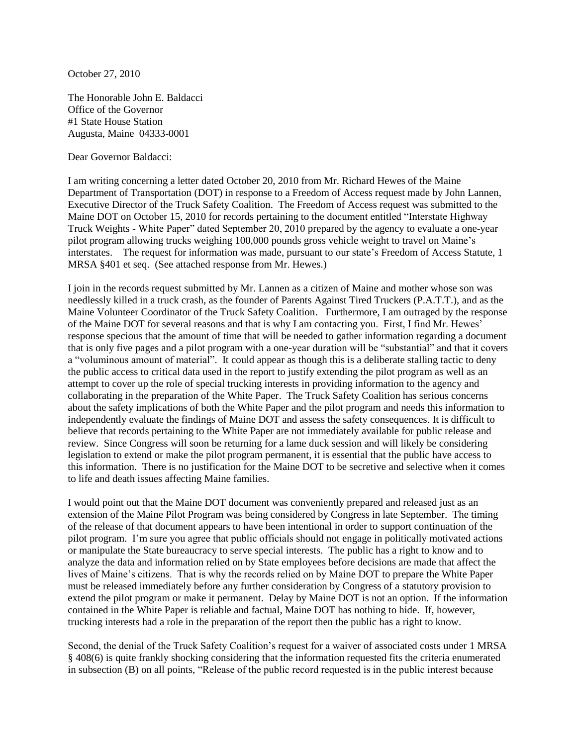October 27, 2010

The Honorable John E. Baldacci Office of the Governor #1 State House Station Augusta, Maine 04333-0001

Dear Governor Baldacci:

I am writing concerning a letter dated October 20, 2010 from Mr. Richard Hewes of the Maine Department of Transportation (DOT) in response to a Freedom of Access request made by John Lannen, Executive Director of the Truck Safety Coalition. The Freedom of Access request was submitted to the Maine DOT on October 15, 2010 for records pertaining to the document entitled "Interstate Highway Truck Weights - White Paper" dated September 20, 2010 prepared by the agency to evaluate a one-year pilot program allowing trucks weighing 100,000 pounds gross vehicle weight to travel on Maine's interstates. The request for information was made, pursuant to our state's Freedom of Access Statute, 1 MRSA §401 et seq. (See attached response from Mr. Hewes.)

I join in the records request submitted by Mr. Lannen as a citizen of Maine and mother whose son was needlessly killed in a truck crash, as the founder of Parents Against Tired Truckers (P.A.T.T.), and as the Maine Volunteer Coordinator of the Truck Safety Coalition. Furthermore, I am outraged by the response of the Maine DOT for several reasons and that is why I am contacting you. First, I find Mr. Hewes' response specious that the amount of time that will be needed to gather information regarding a document that is only five pages and a pilot program with a one-year duration will be "substantial" and that it covers a "voluminous amount of material". It could appear as though this is a deliberate stalling tactic to deny the public access to critical data used in the report to justify extending the pilot program as well as an attempt to cover up the role of special trucking interests in providing information to the agency and collaborating in the preparation of the White Paper. The Truck Safety Coalition has serious concerns about the safety implications of both the White Paper and the pilot program and needs this information to independently evaluate the findings of Maine DOT and assess the safety consequences. It is difficult to believe that records pertaining to the White Paper are not immediately available for public release and review. Since Congress will soon be returning for a lame duck session and will likely be considering legislation to extend or make the pilot program permanent, it is essential that the public have access to this information. There is no justification for the Maine DOT to be secretive and selective when it comes to life and death issues affecting Maine families.

I would point out that the Maine DOT document was conveniently prepared and released just as an extension of the Maine Pilot Program was being considered by Congress in late September. The timing of the release of that document appears to have been intentional in order to support continuation of the pilot program. I'm sure you agree that public officials should not engage in politically motivated actions or manipulate the State bureaucracy to serve special interests. The public has a right to know and to analyze the data and information relied on by State employees before decisions are made that affect the lives of Maine's citizens. That is why the records relied on by Maine DOT to prepare the White Paper must be released immediately before any further consideration by Congress of a statutory provision to extend the pilot program or make it permanent. Delay by Maine DOT is not an option. If the information contained in the White Paper is reliable and factual, Maine DOT has nothing to hide. If, however, trucking interests had a role in the preparation of the report then the public has a right to know.

Second, the denial of the Truck Safety Coalition's request for a waiver of associated costs under 1 MRSA § 408(6) is quite frankly shocking considering that the information requested fits the criteria enumerated in subsection (B) on all points, "Release of the public record requested is in the public interest because